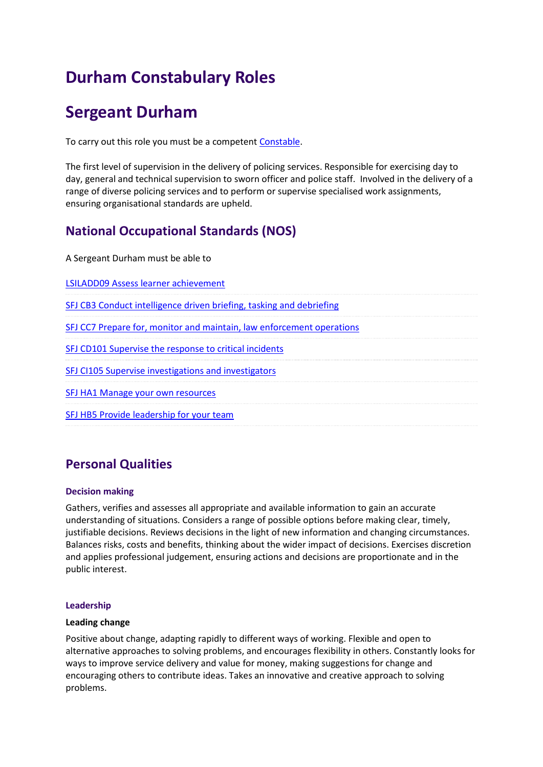# **Durham Constabulary Roles**

## **Sergeant Durham**

To carry out this role you must be a competen[t Constable.](/myppf/browseroles/?o_id=13&r_id=1)

The first level of supervision in the delivery of policing services. Responsible for exercising day to day, general and technical supervision to sworn officer and police staff. Involved in the delivery of a range of diverse policing services and to perform or supervise specialised work assignments, ensuring organisational standards are upheld.

### **National Occupational Standards (NOS)**

A Sergeant Durham must be able to

[LSILADD09 Assess learner achievement](http://www.skillsforjustice-nosfinder.com/nos/doc/imported/LSILADD09.pdf)

[SFJ CB3 Conduct intelligence driven briefing, tasking and debriefing](http://www.skillsforjustice-nosfinder.com/nos/doc/SFJCB3.docx)

[SFJ CC7 Prepare for, monitor and maintain, law enforcement operations](http://www.skillsforjustice-nosfinder.com/nos/doc/SFJCC7.docx)

[SFJ CD101 Supervise the response to critical incidents](http://www.skillsforjustice-nosfinder.com/nos/doc/SFJCD101.docx)

[SFJ CI105 Supervise investigations and investigators](http://www.skillsforjustice-nosfinder.com/nos/doc/SFJCI105.docx)

[SFJ HA1 Manage your own resources](http://www.skillsforjustice-nosfinder.com/nos/doc/SFJHA1.docx)

[SFJ HB5 Provide leadership for your team](http://www.skillsforjustice-nosfinder.com/nos/doc/SFJ%20HB5.docx)

### **Personal Qualities**

#### **Decision making**

Gathers, verifies and assesses all appropriate and available information to gain an accurate understanding of situations. Considers a range of possible options before making clear, timely, justifiable decisions. Reviews decisions in the light of new information and changing circumstances. Balances risks, costs and benefits, thinking about the wider impact of decisions. Exercises discretion and applies professional judgement, ensuring actions and decisions are proportionate and in the public interest.

#### **Leadership**

#### **Leading change**

Positive about change, adapting rapidly to different ways of working. Flexible and open to alternative approaches to solving problems, and encourages flexibility in others. Constantly looks for ways to improve service delivery and value for money, making suggestions for change and encouraging others to contribute ideas. Takes an innovative and creative approach to solving problems.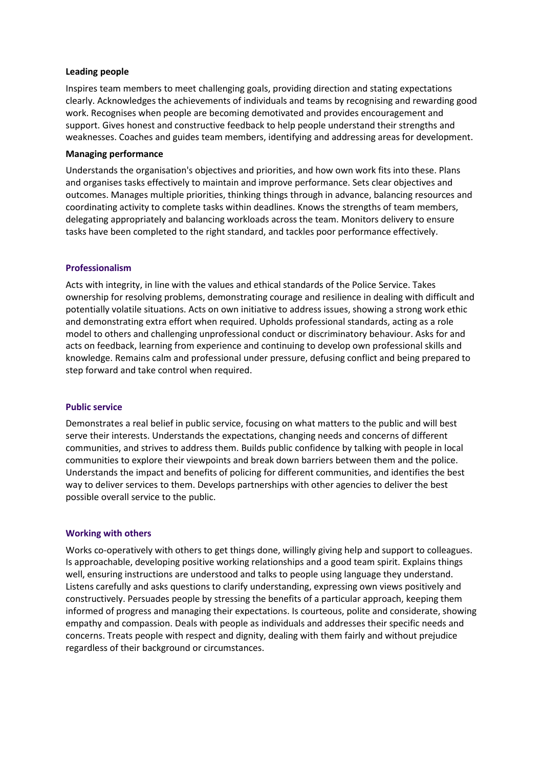#### **Leading people**

Inspires team members to meet challenging goals, providing direction and stating expectations clearly. Acknowledges the achievements of individuals and teams by recognising and rewarding good work. Recognises when people are becoming demotivated and provides encouragement and support. Gives honest and constructive feedback to help people understand their strengths and weaknesses. Coaches and guides team members, identifying and addressing areas for development.

#### **Managing performance**

Understands the organisation's objectives and priorities, and how own work fits into these. Plans and organises tasks effectively to maintain and improve performance. Sets clear objectives and outcomes. Manages multiple priorities, thinking things through in advance, balancing resources and coordinating activity to complete tasks within deadlines. Knows the strengths of team members, delegating appropriately and balancing workloads across the team. Monitors delivery to ensure tasks have been completed to the right standard, and tackles poor performance effectively.

#### **Professionalism**

Acts with integrity, in line with the values and ethical standards of the Police Service. Takes ownership for resolving problems, demonstrating courage and resilience in dealing with difficult and potentially volatile situations. Acts on own initiative to address issues, showing a strong work ethic and demonstrating extra effort when required. Upholds professional standards, acting as a role model to others and challenging unprofessional conduct or discriminatory behaviour. Asks for and acts on feedback, learning from experience and continuing to develop own professional skills and knowledge. Remains calm and professional under pressure, defusing conflict and being prepared to step forward and take control when required.

#### **Public service**

Demonstrates a real belief in public service, focusing on what matters to the public and will best serve their interests. Understands the expectations, changing needs and concerns of different communities, and strives to address them. Builds public confidence by talking with people in local communities to explore their viewpoints and break down barriers between them and the police. Understands the impact and benefits of policing for different communities, and identifies the best way to deliver services to them. Develops partnerships with other agencies to deliver the best possible overall service to the public.

#### **Working with others**

Works co-operatively with others to get things done, willingly giving help and support to colleagues. Is approachable, developing positive working relationships and a good team spirit. Explains things well, ensuring instructions are understood and talks to people using language they understand. Listens carefully and asks questions to clarify understanding, expressing own views positively and constructively. Persuades people by stressing the benefits of a particular approach, keeping them informed of progress and managing their expectations. Is courteous, polite and considerate, showing empathy and compassion. Deals with people as individuals and addresses their specific needs and concerns. Treats people with respect and dignity, dealing with them fairly and without prejudice regardless of their background or circumstances.